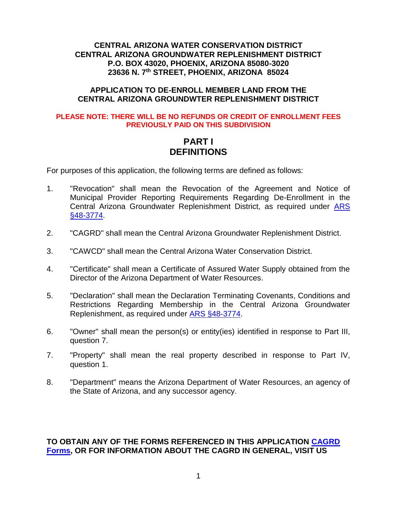## **CENTRAL ARIZONA WATER CONSERVATION DISTRICT CENTRAL ARIZONA GROUNDWATER REPLENISHMENT DISTRICT P.O. BOX 43020, PHOENIX, ARIZONA 85080-3020 23636 N. 7th STREET, PHOENIX, ARIZONA 85024**

## **APPLICATION TO DE-ENROLL MEMBER LAND FROM THE CENTRAL ARIZONA GROUNDWTER REPLENISHMENT DISTRICT**

#### **PLEASE NOTE: THERE WILL BE NO REFUNDS OR CREDIT OF ENROLLMENT FEES PREVIOUSLY PAID ON THIS SUBDIVISION**

# **PART I DEFINITIONS**

For purposes of this application, the following terms are defined as follows:

- 1. "Revocation" shall mean the Revocation of the Agreement and Notice of Municipal Provider Reporting Requirements Regarding De-Enrollment in the Central Arizona Groundwater Replenishment District, as required under [ARS](http://www.azleg.gov/FormatDocument.asp?inDoc=/ars/48/03774.htm&Title=48&DocType=ARS)  [§48-3774.](http://www.azleg.gov/FormatDocument.asp?inDoc=/ars/48/03774.htm&Title=48&DocType=ARS)
- 2. "CAGRD" shall mean the Central Arizona Groundwater Replenishment District.
- 3. "CAWCD" shall mean the Central Arizona Water Conservation District.
- 4. "Certificate" shall mean a Certificate of Assured Water Supply obtained from the Director of the Arizona Department of Water Resources.
- 5. "Declaration" shall mean the Declaration Terminating Covenants, Conditions and Restrictions Regarding Membership in the Central Arizona Groundwater Replenishment, as required under [ARS §48-3774.](http://www.azleg.gov/FormatDocument.asp?inDoc=/ars/48/03774.htm&Title=48&DocType=ARS)
- 6. "Owner" shall mean the person(s) or entity(ies) identified in response to Part III, question 7.
- 7. "Property" shall mean the real property described in response to Part IV, question 1.
- 8. "Department" means the Arizona Department of Water Resources, an agency of the State of Arizona, and any successor agency.

## **TO OBTAIN ANY OF THE FORMS REFERENCED IN THIS APPLICATION [CAGRD](http://www.cagrd.com/index.php/enrollment/enrollment-applications-forms)  [Forms,](http://www.cagrd.com/index.php/enrollment/enrollment-applications-forms) OR FOR INFORMATION ABOUT THE CAGRD IN GENERAL, VISIT US**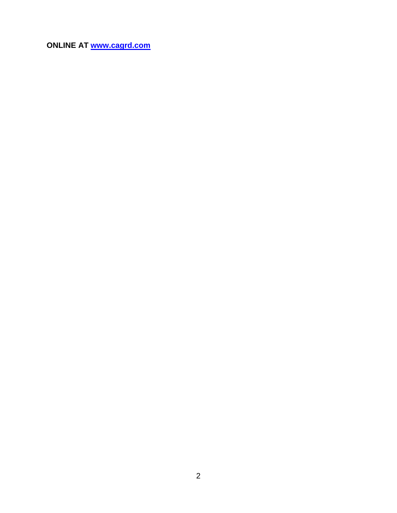**ONLINE AT [www.cagrd.com](http://www.cagrd.com/)**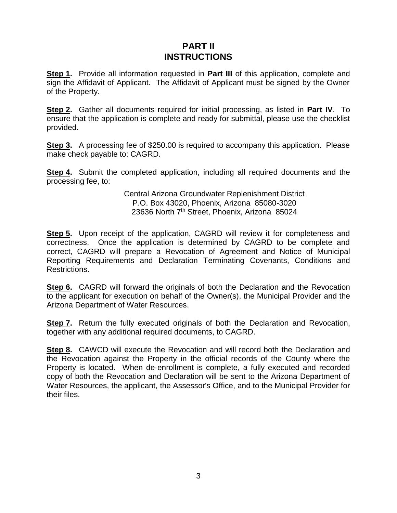# **PART II INSTRUCTIONS**

**Step 1.** Provide all information requested in **Part III** of this application, complete and sign the Affidavit of Applicant. The Affidavit of Applicant must be signed by the Owner of the Property.

**Step 2.** Gather all documents required for initial processing, as listed in **Part IV**. To ensure that the application is complete and ready for submittal, please use the checklist provided.

**Step 3.** A processing fee of \$250.00 is required to accompany this application. Please make check payable to: CAGRD.

**Step 4.** Submit the completed application, including all required documents and the processing fee, to:

> Central Arizona Groundwater Replenishment District P.O. Box 43020, Phoenix, Arizona 85080-3020 23636 North 7<sup>th</sup> Street, Phoenix, Arizona 85024

**Step 5.** Upon receipt of the application, CAGRD will review it for completeness and correctness. Once the application is determined by CAGRD to be complete and correct, CAGRD will prepare a Revocation of Agreement and Notice of Municipal Reporting Requirements and Declaration Terminating Covenants, Conditions and Restrictions.

**Step 6.** CAGRD will forward the originals of both the Declaration and the Revocation to the applicant for execution on behalf of the Owner(s), the Municipal Provider and the Arizona Department of Water Resources.

**Step 7.** Return the fully executed originals of both the Declaration and Revocation, together with any additional required documents, to CAGRD.

**Step 8.** CAWCD will execute the Revocation and will record both the Declaration and the Revocation against the Property in the official records of the County where the Property is located. When de-enrollment is complete, a fully executed and recorded copy of both the Revocation and Declaration will be sent to the Arizona Department of Water Resources, the applicant, the Assessor's Office, and to the Municipal Provider for their files.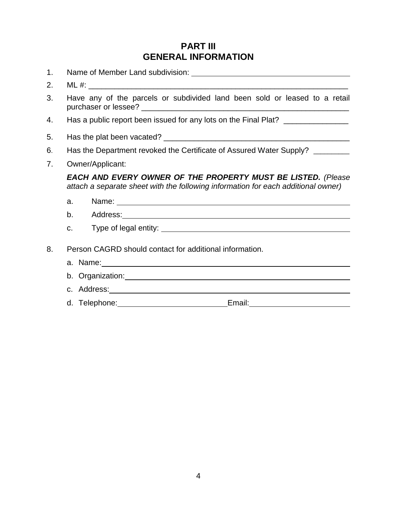# **PART III GENERAL INFORMATION**

- 1. Name of Member Land subdivision:
- 2.  $ML \#$ :
- 3. Have any of the parcels or subdivided land been sold or leased to a retail purchaser or lessee? \_\_\_\_\_\_\_\_\_\_\_\_\_\_\_\_\_\_\_\_\_\_\_\_\_\_\_\_\_\_\_\_\_\_\_\_\_\_\_\_\_\_\_\_\_\_\_\_
- 4. Has a public report been issued for any lots on the Final Plat? \_\_\_\_\_\_\_\_\_\_\_\_\_
- 5. Has the plat been vacated? \_\_\_\_\_\_\_\_\_\_\_\_\_\_\_\_\_\_\_\_\_\_\_\_\_\_\_\_\_\_\_\_\_\_\_\_\_\_\_\_\_\_\_
- 6. Has the Department revoked the Certificate of Assured Water Supply?
- 7. Owner/Applicant:

*EACH AND EVERY OWNER OF THE PROPERTY MUST BE LISTED. (Please attach a separate sheet with the following information for each additional owner)*

- a. Name: Name: Name: Name: Name: Name: Name: Name: Name: Name: Name: Name: Name: Name: Name: Name: Name: Name: Name: Name: Name: Name: Name: Name: Name: Name: Name: Name: Name: Name: Name: Name: Name: Name: Name: Name: Nam
- b. Address: 1988 1988 1988 1988 1988 1988 1988 1988 1988 1988 1988 1988 1988 1988 1
- c. Type of legal entity:
- 8. Person CAGRD should contact for additional information.
	- a. Name:
	- b. Organization:
	- c. Address: 1999 1999 1999 1999 1999 1999 1999 1999 1999 1999 1999 1999 1999 1999 1999 1999 1999 1999 1999 1999 1999 1999 1999 1999 1999 1999 1999 1999 1999 1999 -
	- d. Telephone: Email: Email: Email: Email: Email: Email: Email: Email: Email: Email: Email: Email: Email: Email: Email: Email: Email: Email: Email: Email: Email: Email: Email: Email: Email: Email: Email: Email: Email: Email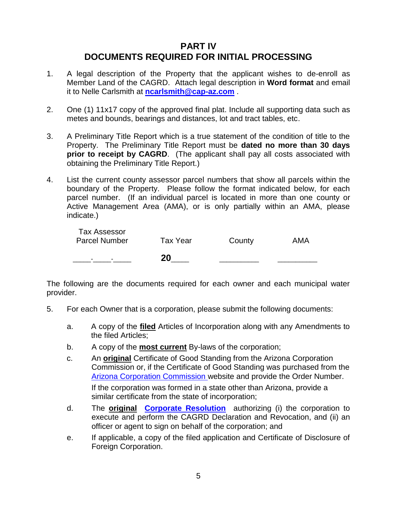# **PART IV DOCUMENTS REQUIRED FOR INITIAL PROCESSING**

- 1. A legal description of the Property that the applicant wishes to de-enroll as Member Land of the CAGRD. Attach legal description in **Word format** and email it to Nelle Carlsmith at **[ncarlsmith@cap-az.com](mailto:ncarlsmith@cap-az.com)** .
- 2. One (1) 11x17 copy of the approved final plat. Include all supporting data such as metes and bounds, bearings and distances, lot and tract tables, etc.
- 3. A Preliminary Title Report which is a true statement of the condition of title to the Property. The Preliminary Title Report must be **dated no more than 30 days prior to receipt by CAGRD.** (The applicant shall pay all costs associated with obtaining the Preliminary Title Report.)
- 4. List the current county assessor parcel numbers that show all parcels within the boundary of the Property. Please follow the format indicated below, for each parcel number. (If an individual parcel is located in more than one county or Active Management Area (AMA), or is only partially within an AMA, please indicate.)

|                                             | 20       |        |     |
|---------------------------------------------|----------|--------|-----|
| <b>Tax Assessor</b><br><b>Parcel Number</b> | Tax Year | County | AMA |

The following are the documents required for each owner and each municipal water provider.

- 5. For each Owner that is a corporation, please submit the following documents:
	- a. A copy of the **filed** Articles of Incorporation along with any Amendments to the filed Articles;
	- b. A copy of the **most current** By-laws of the corporation;
	- c. An **original** Certificate of Good Standing from the Arizona Corporation Commission or, if the Certificate of Good Standing was purchased from the [Arizona Corporation Commission](http://starpas.azcc.gov/scripts/cgiip.exe/WService=wsbroker1/connect.p?app=names-report.p) website and provide the Order Number.

If the corporation was formed in a state other than Arizona, provide a similar certificate from the state of incorporation;

- d. The **original [Corporate Resolution](http://www.cagrd.com/Portals/3/Docs/marsha/corporateresolution_fillable_online_doc%20(2).pdf)** authorizing (i) the corporation to execute and perform the CAGRD Declaration and Revocation, and (ii) an officer or agent to sign on behalf of the corporation; and
- e. If applicable, a copy of the filed application and Certificate of Disclosure of Foreign Corporation.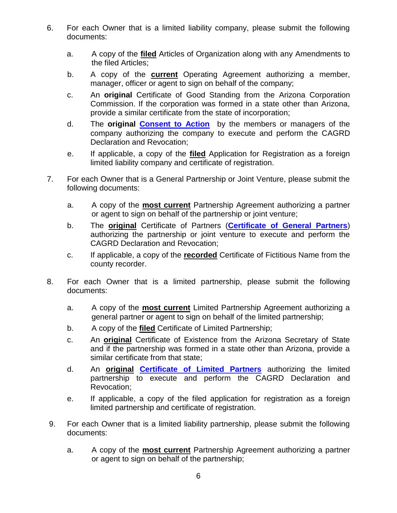- 6. For each Owner that is a limited liability company, please submit the following documents:
	- a. A copy of the **filed** Articles of Organization along with any Amendments to the filed Articles;
	- b. A copy of the **current** Operating Agreement authorizing a member, manager, officer or agent to sign on behalf of the company;
	- c. An **original** Certificate of Good Standing from the Arizona Corporation Commission. If the corporation was formed in a state other than Arizona, provide a similar certificate from the state of incorporation;
	- d. The **original [Consent to Action](http://www.cagrd.com/Portals/3/Docs/marsha/Certified%20Consent%20Fillable_online.pdf)** by the members or managers of the company authorizing the company to execute and perform the CAGRD Declaration and Revocation;
	- e. If applicable, a copy of the **filed** Application for Registration as a foreign limited liability company and certificate of registration.
- 7. For each Owner that is a General Partnership or Joint Venture, please submit the following documents:
	- a. A copy of the **most current** Partnership Agreement authorizing a partner or agent to sign on behalf of the partnership or joint venture;
	- b. The **original** Certificate of Partners (**[Certificate of General Partners](http://www.cagrd.com/Portals/3/Docs/certofgeneralpartners.pdf)**) authorizing the partnership or joint venture to execute and perform the CAGRD Declaration and Revocation;
	- c. If applicable, a copy of the **recorded** Certificate of Fictitious Name from the county recorder.
- 8. For each Owner that is a limited partnership, please submit the following documents:
	- a. A copy of the **most current** Limited Partnership Agreement authorizing a general partner or agent to sign on behalf of the limited partnership;
	- b. A copy of the **filed** Certificate of Limited Partnership;
	- c. An **original** Certificate of Existence from the Arizona Secretary of State and if the partnership was formed in a state other than Arizona, provide a similar certificate from that state;
	- d. An **original [Certificate of Limited Partners](http://www.cagrd.com/Portals/3/Docs/certlimitedpartnership.pdf)** authorizing the limited partnership to execute and perform the CAGRD Declaration and Revocation;
	- e. If applicable, a copy of the filed application for registration as a foreign limited partnership and certificate of registration.
- 9. For each Owner that is a limited liability partnership, please submit the following documents:
	- a. A copy of the **most current** Partnership Agreement authorizing a partner or agent to sign on behalf of the partnership;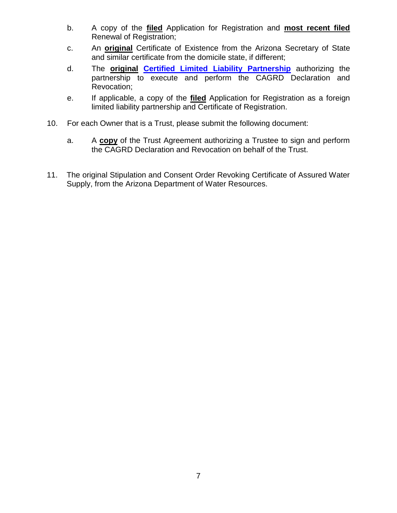- b. A copy of the **filed** Application for Registration and **most recent filed** Renewal of Registration;
- c. An **original** Certificate of Existence from the Arizona Secretary of State and similar certificate from the domicile state, if different;
- d. The **original [Certified Limited Liability Partnership](http://www.cagrd.com/Portals/3/Docs/certlimitedliabilitypart.pdf)** authorizing the partnership to execute and perform the CAGRD Declaration and Revocation;
- e. If applicable, a copy of the **filed** Application for Registration as a foreign limited liability partnership and Certificate of Registration.
- 10. For each Owner that is a Trust, please submit the following document:
	- a. A **copy** of the Trust Agreement authorizing a Trustee to sign and perform the CAGRD Declaration and Revocation on behalf of the Trust.
- 11. The original Stipulation and Consent Order Revoking Certificate of Assured Water Supply, from the Arizona Department of Water Resources.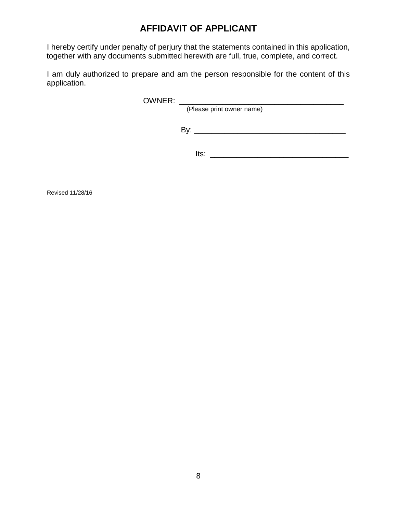# **AFFIDAVIT OF APPLICANT**

I hereby certify under penalty of perjury that the statements contained in this application, together with any documents submitted herewith are full, true, complete, and correct.

I am duly authorized to prepare and am the person responsible for the content of this application.

OWNER: \_\_\_\_\_\_\_\_\_\_\_\_\_\_\_\_\_\_\_\_\_\_\_\_\_\_\_\_\_\_\_\_\_\_\_\_\_\_

(Please print owner name)

By: \_\_\_\_\_\_\_\_\_\_\_\_\_\_\_\_\_\_\_\_\_\_\_\_\_\_\_\_\_\_\_\_\_\_\_

Its: \_\_\_\_\_\_\_\_\_\_\_\_\_\_\_\_\_\_\_\_\_\_\_\_\_\_\_\_\_\_\_\_

Revised 11/28/16